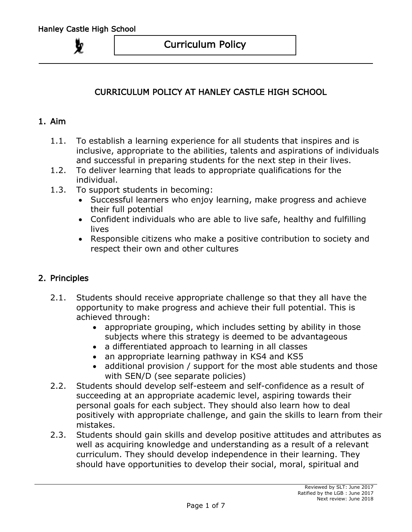# CURRICULUM POLICY AT HANLEY CASTLE HIGH SCHOOL

#### 1. Aim

- 1.1. To establish a learning experience for all students that inspires and is inclusive, appropriate to the abilities, talents and aspirations of individuals and successful in preparing students for the next step in their lives.
- 1.2. To deliver learning that leads to appropriate qualifications for the individual.
- 1.3. To support students in becoming:
	- Successful learners who enjoy learning, make progress and achieve their full potential
	- Confident individuals who are able to live safe, healthy and fulfilling **lives**
	- Responsible citizens who make a positive contribution to society and respect their own and other cultures

### 2. Principles

- 2.1. Students should receive appropriate challenge so that they all have the opportunity to make progress and achieve their full potential. This is achieved through:
	- appropriate grouping, which includes setting by ability in those subjects where this strategy is deemed to be advantageous
	- a differentiated approach to learning in all classes
	- an appropriate learning pathway in KS4 and KS5
	- additional provision / support for the most able students and those with SEN/D (see separate policies)
- 2.2. Students should develop self-esteem and self-confidence as a result of succeeding at an appropriate academic level, aspiring towards their personal goals for each subject. They should also learn how to deal positively with appropriate challenge, and gain the skills to learn from their mistakes.
- 2.3. Students should gain skills and develop positive attitudes and attributes as well as acquiring knowledge and understanding as a result of a relevant curriculum. They should develop independence in their learning. They should have opportunities to develop their social, moral, spiritual and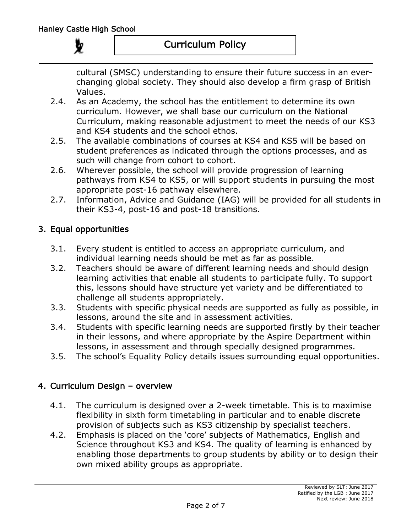cultural (SMSC) understanding to ensure their future success in an everchanging global society. They should also develop a firm grasp of British Values.

- 2.4. As an Academy, the school has the entitlement to determine its own curriculum. However, we shall base our curriculum on the National Curriculum, making reasonable adjustment to meet the needs of our KS3 and KS4 students and the school ethos.
- 2.5. The available combinations of courses at KS4 and KS5 will be based on student preferences as indicated through the options processes, and as such will change from cohort to cohort.
- 2.6. Wherever possible, the school will provide progression of learning pathways from KS4 to KS5, or will support students in pursuing the most appropriate post-16 pathway elsewhere.
- 2.7. Information, Advice and Guidance (IAG) will be provided for all students in their KS3-4, post-16 and post-18 transitions.

## 3. Equal opportunities

- 3.1. Every student is entitled to access an appropriate curriculum, and individual learning needs should be met as far as possible.
- 3.2. Teachers should be aware of different learning needs and should design learning activities that enable all students to participate fully. To support this, lessons should have structure yet variety and be differentiated to challenge all students appropriately.
- 3.3. Students with specific physical needs are supported as fully as possible, in lessons, around the site and in assessment activities.
- 3.4. Students with specific learning needs are supported firstly by their teacher in their lessons, and where appropriate by the Aspire Department within lessons, in assessment and through specially designed programmes.
- 3.5. The school's Equality Policy details issues surrounding equal opportunities.

## 4. Curriculum Design – overview

- 4.1. The curriculum is designed over a 2-week timetable. This is to maximise flexibility in sixth form timetabling in particular and to enable discrete provision of subjects such as KS3 citizenship by specialist teachers.
- 4.2. Emphasis is placed on the 'core' subjects of Mathematics, English and Science throughout KS3 and KS4. The quality of learning is enhanced by enabling those departments to group students by ability or to design their own mixed ability groups as appropriate.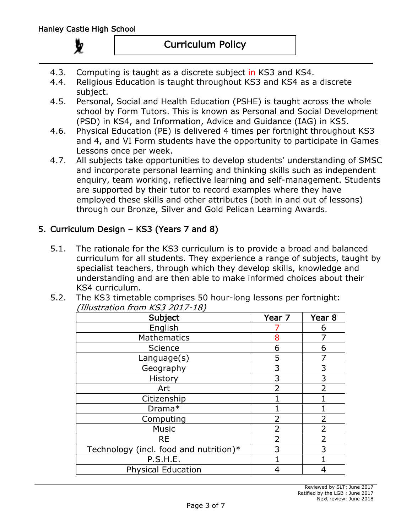- 4.3. Computing is taught as a discrete subject in KS3 and KS4.
- 4.4. Religious Education is taught throughout KS3 and KS4 as a discrete subject.
- 4.5. Personal, Social and Health Education (PSHE) is taught across the whole school by Form Tutors. This is known as Personal and Social Development (PSD) in KS4, and Information, Advice and Guidance (IAG) in KS5.
- 4.6. Physical Education (PE) is delivered 4 times per fortnight throughout KS3 and 4, and VI Form students have the opportunity to participate in Games Lessons once per week.
- 4.7. All subjects take opportunities to develop students' understanding of SMSC and incorporate personal learning and thinking skills such as independent enquiry, team working, reflective learning and self-management. Students are supported by their tutor to record examples where they have employed these skills and other attributes (both in and out of lessons) through our Bronze, Silver and Gold Pelican Learning Awards.

## 5. Curriculum Design – KS3 (Years 7 and 8)

- 5.1. The rationale for the KS3 curriculum is to provide a broad and balanced curriculum for all students. They experience a range of subjects, taught by specialist teachers, through which they develop skills, knowledge and understanding and are then able to make informed choices about their KS4 curriculum.
- 5.2. The KS3 timetable comprises 50 hour-long lessons per fortnight: (Illustration from KS3 2017-18)

| Subject                                | Year 7         | Year <sub>8</sub> |
|----------------------------------------|----------------|-------------------|
| English                                |                | 6                 |
| <b>Mathematics</b>                     | 8              |                   |
| Science                                | 6              | 6                 |
| Language(s)                            | 5              |                   |
| Geography                              | 3              | 3                 |
| History                                | 3              | 3                 |
| Art                                    | $\overline{2}$ | $\overline{2}$    |
| Citizenship                            |                |                   |
| Drama*                                 |                |                   |
| Computing                              | 2              | 2                 |
| <b>Music</b>                           | $\overline{2}$ | $\overline{2}$    |
| <b>RE</b>                              | $\overline{2}$ | 2                 |
| Technology (incl. food and nutrition)* | 3              | 3                 |
| P.S.H.E.                               |                |                   |
| <b>Physical Education</b>              | 4              | 4                 |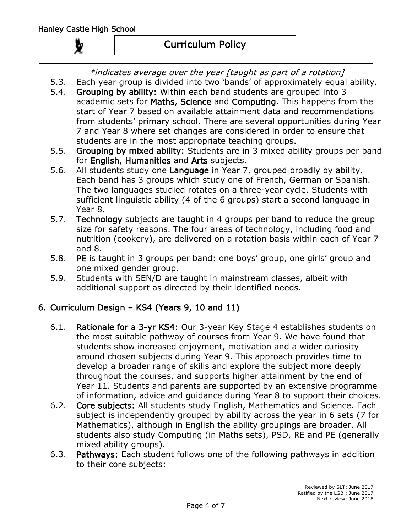\*indicates average over the year [taught as part of a rotation]

5.3. Each year group is divided into two 'bands' of approximately equal ability.

- 5.4. Grouping by ability: Within each band students are grouped into 3 academic sets for Maths, Science and Computing. This happens from the start of Year 7 based on available attainment data and recommendations from students' primary school. There are several opportunities during Year 7 and Year 8 where set changes are considered in order to ensure that students are in the most appropriate teaching groups.
- 5.5. Grouping by mixed ability: Students are in 3 mixed ability groups per band for English, Humanities and Arts subjects.
- 5.6. All students study one Language in Year 7, grouped broadly by ability. Each band has 3 groups which study one of French, German or Spanish. The two languages studied rotates on a three-year cycle. Students with sufficient linguistic ability (4 of the 6 groups) start a second language in Year 8.
- 5.7. Technology subjects are taught in 4 groups per band to reduce the group size for safety reasons. The four areas of technology, including food and nutrition (cookery), are delivered on a rotation basis within each of Year 7 and 8.
- 5.8. PE is taught in 3 groups per band: one boys' group, one girls' group and one mixed gender group.
- 5.9. Students with SEN/D are taught in mainstream classes, albeit with additional support as directed by their identified needs.

# 6. Curriculum Design – KS4 (Years 9, 10 and 11)

- 6.1. Rationale for a 3-yr KS4: Our 3-year Key Stage 4 establishes students on the most suitable pathway of courses from Year 9. We have found that students show increased enjoyment, motivation and a wider curiosity around chosen subjects during Year 9. This approach provides time to develop a broader range of skills and explore the subject more deeply throughout the courses, and supports higher attainment by the end of Year 11. Students and parents are supported by an extensive programme of information, advice and guidance during Year 8 to support their choices.
- 6.2. Core subjects: All students study English, Mathematics and Science. Each subject is independently grouped by ability across the year in 6 sets (7 for Mathematics), although in English the ability groupings are broader. All students also study Computing (in Maths sets), PSD, RE and PE (generally mixed ability groups).
- 6.3. Pathways: Each student follows one of the following pathways in addition to their core subjects: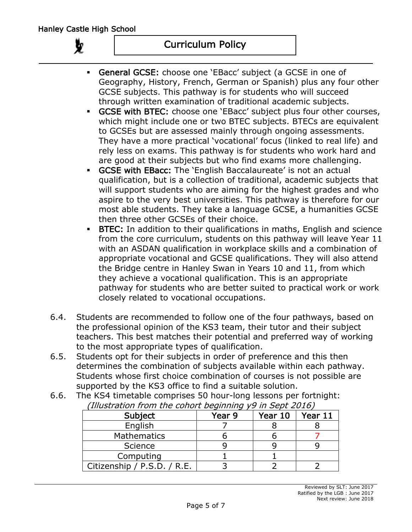## Curriculum Policy

- General GCSE: choose one 'EBacc' subject (a GCSE in one of Geography, History, French, German or Spanish) plus any four other GCSE subjects. This pathway is for students who will succeed through written examination of traditional academic subjects.
- GCSE with BTEC: choose one 'EBacc' subject plus four other courses, which might include one or two BTEC subjects. BTECs are equivalent to GCSEs but are assessed mainly through ongoing assessments. They have a more practical 'vocational' focus (linked to real life) and rely less on exams. This pathway is for students who work hard and are good at their subjects but who find exams more challenging.
- GCSE with EBacc: The 'English Baccalaureate' is not an actual qualification, but is a collection of traditional, academic subjects that will support students who are aiming for the highest grades and who aspire to the very best universities. This pathway is therefore for our most able students. They take a language GCSE, a humanities GCSE then three other GCSEs of their choice.
- BTEC: In addition to their qualifications in maths, English and science from the core curriculum, students on this pathway will leave Year 11 with an ASDAN qualification in workplace skills and a combination of appropriate vocational and GCSE qualifications. They will also attend the Bridge centre in Hanley Swan in Years 10 and 11, from which they achieve a vocational qualification. This is an appropriate pathway for students who are better suited to practical work or work closely related to vocational occupations.
- 6.4. Students are recommended to follow one of the four pathways, based on the professional opinion of the KS3 team, their tutor and their subject teachers. This best matches their potential and preferred way of working to the most appropriate types of qualification.
- 6.5. Students opt for their subjects in order of preference and this then determines the combination of subjects available within each pathway. Students whose first choice combination of courses is not possible are supported by the KS3 office to find a suitable solution.
- 6.6. The KS4 timetable comprises 50 hour-long lessons per fortnight: (Illustration from the cohort beginning y9 in Sept 2016)

| Subject                     | Year 9 | Year 10 | Year 11 |
|-----------------------------|--------|---------|---------|
| English                     |        |         |         |
| <b>Mathematics</b>          |        |         |         |
| Science                     |        |         |         |
| Computing                   |        |         |         |
| Citizenship / P.S.D. / R.E. |        |         |         |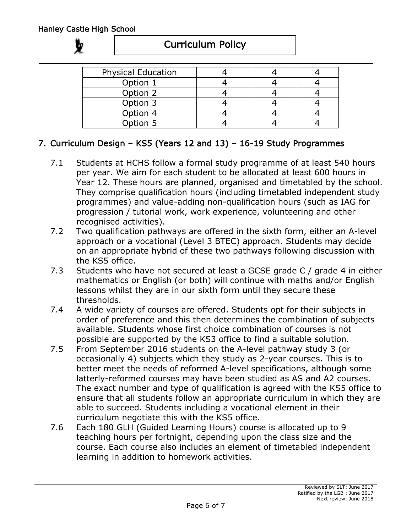# Curriculum Policy

| <b>Physical Education</b> |  |  |
|---------------------------|--|--|
| Option 1                  |  |  |
| Option 2                  |  |  |
| Option 3                  |  |  |
| Option 4                  |  |  |
| Option 5                  |  |  |

# 7. Curriculum Design – KS5 (Years 12 and 13) – 16-19 Study Programmes

- 7.1 Students at HCHS follow a formal study programme of at least 540 hours per year. We aim for each student to be allocated at least 600 hours in Year 12. These hours are planned, organised and timetabled by the school. They comprise qualification hours (including timetabled independent study programmes) and value-adding non-qualification hours (such as IAG for progression / tutorial work, work experience, volunteering and other recognised activities).
- 7.2 Two qualification pathways are offered in the sixth form, either an A-level approach or a vocational (Level 3 BTEC) approach. Students may decide on an appropriate hybrid of these two pathways following discussion with the KS5 office.
- 7.3 Students who have not secured at least a GCSE grade C / grade 4 in either mathematics or English (or both) will continue with maths and/or English lessons whilst they are in our sixth form until they secure these thresholds.
- 7.4 A wide variety of courses are offered. Students opt for their subjects in order of preference and this then determines the combination of subjects available. Students whose first choice combination of courses is not possible are supported by the KS3 office to find a suitable solution.
- 7.5 From September 2016 students on the A-level pathway study 3 (or occasionally 4) subjects which they study as 2-year courses. This is to better meet the needs of reformed A-level specifications, although some latterly-reformed courses may have been studied as AS and A2 courses. The exact number and type of qualification is agreed with the KS5 office to ensure that all students follow an appropriate curriculum in which they are able to succeed. Students including a vocational element in their curriculum negotiate this with the KS5 office.
- 7.6 Each 180 GLH (Guided Learning Hours) course is allocated up to 9 teaching hours per fortnight, depending upon the class size and the course. Each course also includes an element of timetabled independent learning in addition to homework activities.